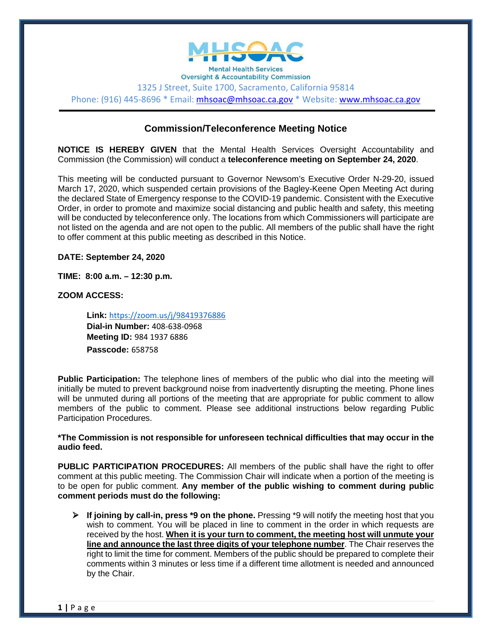

**Oversight & Accountability Commission** 1325 J Street, Suite 1700, Sacramento, California 95814 Phone: (916) 445-8696 \* Email: [mhsoac@mhsoac.ca.gov](mailto:mhsoac@mhsoac.ca.gov) \* Website: [www.mhsoac.ca.gov](http://www.mhsoac.ca.gov/)

## **Commission/Teleconference Meeting Notice**

**NOTICE IS HEREBY GIVEN** that the Mental Health Services Oversight Accountability and Commission (the Commission) will conduct a **teleconference meeting on September 24, 2020**.

This meeting will be conducted pursuant to Governor Newsom's Executive Order N-29-20, issued March 17, 2020, which suspended certain provisions of the Bagley-Keene Open Meeting Act during the declared State of Emergency response to the COVID-19 pandemic. Consistent with the Executive Order, in order to promote and maximize social distancing and public health and safety, this meeting will be conducted by teleconference only. The locations from which Commissioners will participate are not listed on the agenda and are not open to the public. All members of the public shall have the right to offer comment at this public meeting as described in this Notice.

**DATE: September 24, 2020**

**TIME: 8:00 a.m. – 12:30 p.m.**

**ZOOM ACCESS:**

**Link:** [https://zoom.us/j/98419376886](https://gcc02.safelinks.protection.outlook.com/?url=https%3A%2F%2Fzoom.us%2Fj%2F98419376886%3Fpwd%3DcDJMalpnSHhZdlFnblVreC9OOC9CQT09&data=02%7C01%7CCody.Scott%40mhsoac.ca.gov%7Ceb34b789b24544b9ddb608d858f59530%7C60292dfd8bde4e20b5acc75d9cdf6db0%7C0%7C0%7C637357159073166020&sdata=XK51eQ4ct4q%2FG5o2HMTGsPSYL8hvqRBILc%2FIMOYHa2s%3D&reserved=0) **Dial-in Number:** 408-638-0968 **Meeting ID:** 984 1937 6886 **Passcode:** 658758

**Public Participation:** The telephone lines of members of the public who dial into the meeting will initially be muted to prevent background noise from inadvertently disrupting the meeting. Phone lines will be unmuted during all portions of the meeting that are appropriate for public comment to allow members of the public to comment. Please see additional instructions below regarding Public Participation Procedures.

**\*The Commission is not responsible for unforeseen technical difficulties that may occur in the audio feed.** 

**PUBLIC PARTICIPATION PROCEDURES:** All members of the public shall have the right to offer comment at this public meeting. The Commission Chair will indicate when a portion of the meeting is to be open for public comment. **Any member of the public wishing to comment during public comment periods must do the following:**

**If joining by call-in, press \*9 on the phone.** Pressing \*9 will notify the meeting host that you wish to comment. You will be placed in line to comment in the order in which requests are received by the host. **When it is your turn to comment, the meeting host will unmute your line and announce the last three digits of your telephone number**. The Chair reserves the right to limit the time for comment. Members of the public should be prepared to complete their comments within 3 minutes or less time if a different time allotment is needed and announced by the Chair.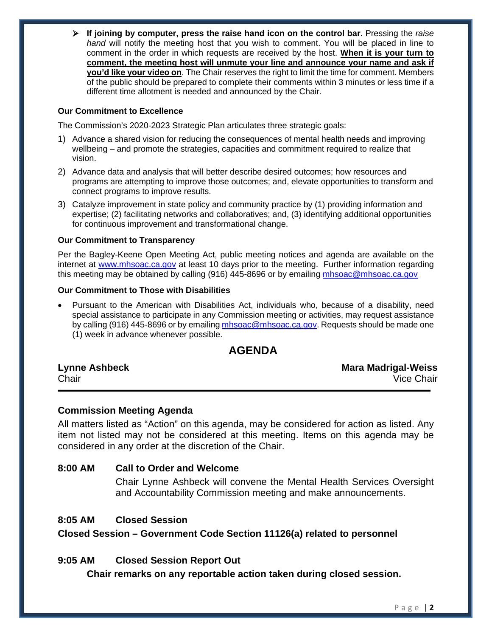**If joining by computer, press the raise hand icon on the control bar.** Pressing the *raise hand* will notify the meeting host that you wish to comment. You will be placed in line to comment in the order in which requests are received by the host. **When it is your turn to comment, the meeting host will unmute your line and announce your name and ask if you'd like your video on**. The Chair reserves the right to limit the time for comment. Members of the public should be prepared to complete their comments within 3 minutes or less time if a different time allotment is needed and announced by the Chair.

#### **Our Commitment to Excellence**

The Commission's 2020-2023 Strategic Plan articulates three strategic goals:

- 1) Advance a shared vision for reducing the consequences of mental health needs and improving wellbeing – and promote the strategies, capacities and commitment required to realize that vision.
- 2) Advance data and analysis that will better describe desired outcomes; how resources and programs are attempting to improve those outcomes; and, elevate opportunities to transform and connect programs to improve results.
- 3) Catalyze improvement in state policy and community practice by (1) providing information and expertise; (2) facilitating networks and collaboratives; and, (3) identifying additional opportunities for continuous improvement and transformational change.

#### **Our Commitment to Transparency**

Per the Bagley-Keene Open Meeting Act, public meeting notices and agenda are available on the internet at [www.mhsoac.ca.gov](http://www.mhsoac.ca.gov/) at least 10 days prior to the meeting. Further information regarding this meeting may be obtained by calling (916) 445-8696 or by emailing [mhsoac@mhsoac.ca.gov](mailto:mhsoac@mhsoac.ca.gov)

#### **Our Commitment to Those with Disabilities**

• Pursuant to the American with Disabilities Act, individuals who, because of a disability, need special assistance to participate in any Commission meeting or activities, may request assistance by calling (916) 445-8696 or by emailing [mhsoac@mhsoac.ca.gov.](mailto:mhsoac@mhsoac.ca.gov) Requests should be made one (1) week in advance whenever possible.

# **AGENDA**

| <b>Lynne Ashbeck</b> | <b>Mara Madrigal-Weiss</b> |
|----------------------|----------------------------|
| Chair                | Vice Chair                 |

#### **Commission Meeting Agenda**

All matters listed as "Action" on this agenda, may be considered for action as listed. Any item not listed may not be considered at this meeting. Items on this agenda may be considered in any order at the discretion of the Chair.

#### **8:00 AM Call to Order and Welcome**

Chair Lynne Ashbeck will convene the Mental Health Services Oversight and Accountability Commission meeting and make announcements.

#### **8:05 AM Closed Session**

**Closed Session – Government Code Section 11126(a) related to personnel**

#### **9:05 AM Closed Session Report Out**

**Chair remarks on any reportable action taken during closed session.**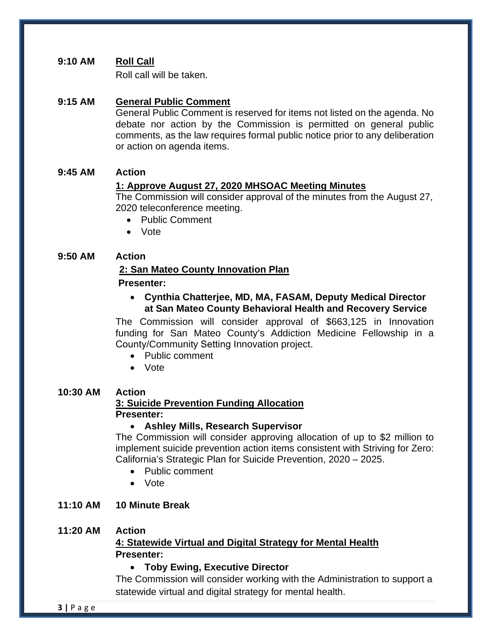# **9:10 AM Roll Call**

Roll call will be taken.

## **9:15 AM General Public Comment**

General Public Comment is reserved for items not listed on the agenda. No debate nor action by the Commission is permitted on general public comments, as the law requires formal public notice prior to any deliberation or action on agenda items.

### **9:45 AM Action**

### **1: Approve August 27, 2020 MHSOAC Meeting Minutes**

The Commission will consider approval of the minutes from the August 27, 2020 teleconference meeting.

- Public Comment
- Vote

### **9:50 AM Action**

### **2: San Mateo County Innovation Plan**

#### **Presenter:**

• **Cynthia Chatterjee, MD, MA, FASAM, Deputy Medical Director at San Mateo County Behavioral Health and Recovery Service**

The Commission will consider approval of \$663,125 in Innovation funding for San Mateo County's Addiction Medicine Fellowship in a County/Community Setting Innovation project.

- Public comment
- Vote

#### **10:30 AM Action**

## **3: Suicide Prevention Funding Allocation Presenter:**

#### • **Ashley Mills, Research Supervisor**

The Commission will consider approving allocation of up to \$2 million to implement suicide prevention action items consistent with Striving for Zero: California's Strategic Plan for Suicide Prevention, 2020 – 2025.

- Public comment
- Vote

## **11:10 AM 10 Minute Break**

#### **11:20 AM Action**

# **4: Statewide Virtual and Digital Strategy for Mental Health Presenter:**

#### • **Toby Ewing, Executive Director**

The Commission will consider working with the Administration to support a statewide virtual and digital strategy for mental health.